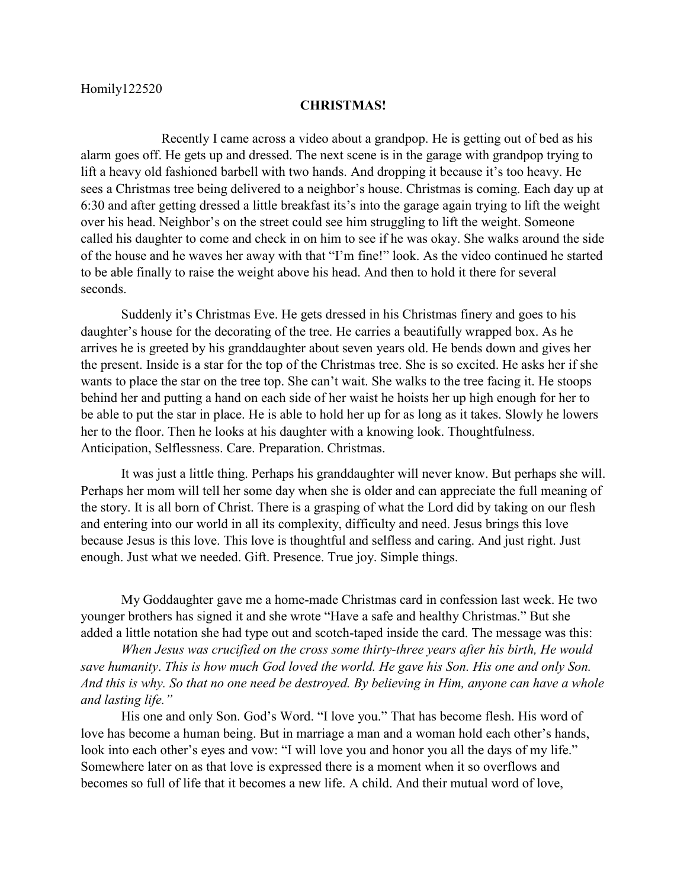## **CHRISTMAS!**

Recently I came across a video about a grandpop. He is getting out of bed as his alarm goes off. He gets up and dressed. The next scene is in the garage with grandpop trying to lift a heavy old fashioned barbell with two hands. And dropping it because it's too heavy. He sees a Christmas tree being delivered to a neighbor's house. Christmas is coming. Each day up at 6:30 and after getting dressed a little breakfast its's into the garage again trying to lift the weight over his head. Neighbor's on the street could see him struggling to lift the weight. Someone called his daughter to come and check in on him to see if he was okay. She walks around the side of the house and he waves her away with that "I'm fine!" look. As the video continued he started to be able finally to raise the weight above his head. And then to hold it there for several seconds.

Suddenly it's Christmas Eve. He gets dressed in his Christmas finery and goes to his daughter's house for the decorating of the tree. He carries a beautifully wrapped box. As he arrives he is greeted by his granddaughter about seven years old. He bends down and gives her the present. Inside is a star for the top of the Christmas tree. She is so excited. He asks her if she wants to place the star on the tree top. She can't wait. She walks to the tree facing it. He stoops behind her and putting a hand on each side of her waist he hoists her up high enough for her to be able to put the star in place. He is able to hold her up for as long as it takes. Slowly he lowers her to the floor. Then he looks at his daughter with a knowing look. Thoughtfulness. Anticipation, Selflessness. Care. Preparation. Christmas.

It was just a little thing. Perhaps his granddaughter will never know. But perhaps she will. Perhaps her mom will tell her some day when she is older and can appreciate the full meaning of the story. It is all born of Christ. There is a grasping of what the Lord did by taking on our flesh and entering into our world in all its complexity, difficulty and need. Jesus brings this love because Jesus is this love. This love is thoughtful and selfless and caring. And just right. Just enough. Just what we needed. Gift. Presence. True joy. Simple things.

My Goddaughter gave me a home-made Christmas card in confession last week. He two younger brothers has signed it and she wrote "Have a safe and healthy Christmas." But she added a little notation she had type out and scotch-taped inside the card. The message was this:

*When Jesus was crucified on the cross some thirty-three years after his birth, He would save humanity*. *This is how much God loved the world. He gave his Son. His one and only Son. And this is why. So that no one need be destroyed. By believing in Him, anyone can have a whole and lasting life."*

His one and only Son. God's Word. "I love you." That has become flesh. His word of love has become a human being. But in marriage a man and a woman hold each other's hands, look into each other's eyes and vow: "I will love you and honor you all the days of my life." Somewhere later on as that love is expressed there is a moment when it so overflows and becomes so full of life that it becomes a new life. A child. And their mutual word of love,